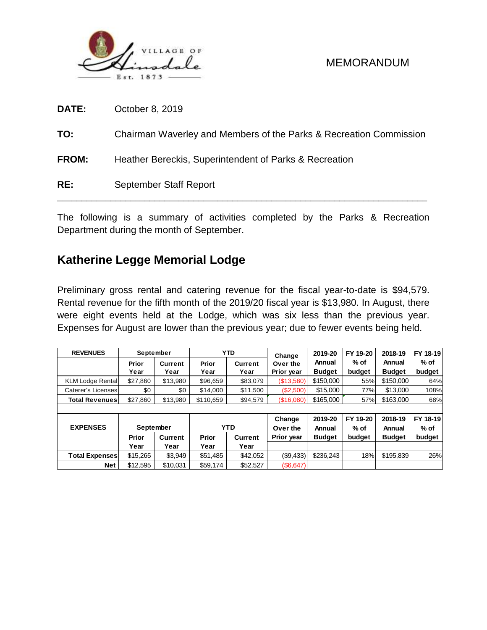

| RE:          | September Staff Report                                             |
|--------------|--------------------------------------------------------------------|
| <b>FROM:</b> | Heather Bereckis, Superintendent of Parks & Recreation             |
| TO:          | Chairman Waverley and Members of the Parks & Recreation Commission |
| <b>DATE:</b> | October 8, 2019                                                    |

The following is a summary of activities completed by the Parks & Recreation Department during the month of September.

# **Katherine Legge Memorial Lodge**

Preliminary gross rental and catering revenue for the fiscal year-to-date is \$94,579. Rental revenue for the fifth month of the 2019/20 fiscal year is \$13,980. In August, there were eight events held at the Lodge, which was six less than the previous year. Expenses for August are lower than the previous year; due to fewer events being held.

| <b>REVENUES</b>         | September     |                 |               | <b>YTD</b>      | Change                 | 2019-20                 | FY 19-20         | 2018-19                 | FY 18-19         |  |
|-------------------------|---------------|-----------------|---------------|-----------------|------------------------|-------------------------|------------------|-------------------------|------------------|--|
|                         | Prior<br>Year | Current<br>Year | Prior<br>Year | Current<br>Year | Over the<br>Prior year | Annual<br><b>Budget</b> | $%$ of<br>budget | Annual<br><b>Budget</b> | $%$ of<br>budget |  |
| <b>KLM Lodge Rental</b> | \$27,860      | \$13,980        | \$96,659      | \$83,079        | (\$13,580)             | \$150,000               | 55%              | \$150,000               | 64%              |  |
| Caterer's Licenses      | \$0           | \$0             | \$14,000      | \$11,500        | (\$2,500)              | \$15,000                | 77%              | \$13,000                | 108%             |  |
| Total Revenues I        | \$27,860      | \$13,980        | \$110,659     | \$94,579        | (\$16,080)             | \$165,000               | 57%              | \$163,000               | 68%              |  |
|                         |               |                 |               |                 |                        |                         |                  |                         |                  |  |
|                         |               |                 |               |                 | Change                 | 2019-20                 | FY 19-20         | 2018-19                 | FY 18-19         |  |
| <b>EXPENSES</b>         | September     |                 |               | <b>YTD</b>      | Over the               | Annual                  | $%$ of           | Annual                  | $%$ of           |  |
|                         | Prior         | <b>Current</b>  | <b>Prior</b>  | Current         | Prior year             | <b>Budget</b>           | budget           | <b>Budget</b>           | budget           |  |
|                         | Year          | Year            | Year          | Year            |                        |                         |                  |                         |                  |  |
| Total Expenses          | \$15,265      | \$3,949         | \$51,485      | \$42,052        | (\$9,433)              | \$236,243               | 18%              | \$195,839               | 26%              |  |
| <b>Net</b>              | \$12,595      | \$10.031        | \$59,174      | \$52,527        | (\$6,647)              |                         |                  |                         |                  |  |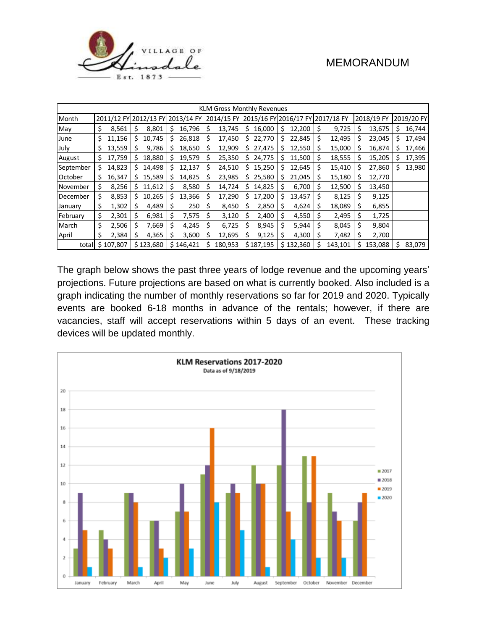

| KLM Gross Monthly Revenues |    |           |     |                                  |    |           |    |                                             |    |           |    |           |     |         |    |            |    |            |
|----------------------------|----|-----------|-----|----------------------------------|----|-----------|----|---------------------------------------------|----|-----------|----|-----------|-----|---------|----|------------|----|------------|
| Month                      |    |           |     | 2011/12 FY 2012/13 FY 2013/14 FY |    |           |    | 2014/15 FY 2015/16 FY 2016/17 FY 2017/18 FY |    |           |    |           |     |         |    | 2018/19 FY |    | 2019/20 FY |
| May                        | \$ | 8,561     | \$  | 8,801                            | S  | 16,796    | \$ | 13,745                                      | S. | 16,000    | \$ | 12,200    | \$  | 9,725   | \$ | 13,675     | \$ | 16,744     |
| June                       | \$ | 11,156    | s   | 10,745                           | S. | 26,818    | \$ | 17,450                                      |    | \$22,770  | \$ | 22,845    | \$  | 12,495  | Ś  | 23,045     | Ś. | 17,494     |
| July                       | \$ | 13,559    | \$  | 9,786                            | S  | 18,650    | \$ | 12,909                                      | S. | 27,475    | S  | 12,550    | \$  | 15,000  | \$ | 16,874     | s  | 17,466     |
| August                     | \$ | 17,759    | Ś.  | 18,880                           | s  | 19,579    | \$ | 25,350                                      | S. | 24,775    | \$ | 11,500    | \$  | 18,555  | \$ | 15,205     | \$ | 17,395     |
| September                  | \$ | 14,823    | S   | 14,498                           | s  | 12,137    | \$ | 24,510                                      | S. | 15,250    | S  | 12,645    | \$  | 15,410  | \$ | 27,860     | S  | 13,980     |
| October                    | \$ | 16,347    | \$. | 15,589                           | S  | 14,825    | \$ | 23,985                                      | S. | 25,580    | \$ | 21,045    | \$  | 15,180  | \$ | 12,770     |    |            |
| November                   | \$ | 8,256     | S.  | 11,612                           |    | 8,580     | \$ | 14,724                                      | s  | 14,825    |    | 6,700     | \$  | 12,500  | \$ | 13,450     |    |            |
| December                   | \$ | 8,853     | S   | 10,265                           | S  | 13,366    | \$ | 17,290                                      | S. | 17,200    | \$ | 13,457    | \$  | 8,125   | \$ | 9,125      |    |            |
| January                    | \$ | 1,302     | S   | 4,489                            | s  | 250       | S  | 8,450                                       | s  | 2,850     | S  | 4,624     | \$  | 18,089  | Ś  | 6,855      |    |            |
| February                   | \$ | 2,301     | \$  | 6,981                            | S  | 7,575     | \$ | 3,120                                       | S  | 2,400     | S  | 4,550     | .\$ | 2,495   | \$ | 1,725      |    |            |
| March                      | \$ | 2,506     | \$  | 7,669                            | \$ | 4,245     | Ś  | 6,725                                       | Ś  | 8,945     | \$ | 5,944     | Ŝ   | 8,045   | \$ | 9,804      |    |            |
| April                      | \$ | 2,384     | \$  | 4,365                            | S  | 3,600     | \$ | 12,695                                      | S  | 9,125     | \$ | 4,300     | -\$ | 7,482   | \$ | 2,700      |    |            |
| total                      |    | \$107,807 |     | \$123,680                        |    | \$146,421 | Ś  | 180,953                                     |    | \$187,195 |    | \$132,360 | \$  | 143,101 | Ś  | 153,088    | Ś  | 83,079     |

The graph below shows the past three years of lodge revenue and the upcoming years' projections. Future projections are based on what is currently booked. Also included is a graph indicating the number of monthly reservations so far for 2019 and 2020. Typically events are booked 6-18 months in advance of the rentals; however, if there are vacancies, staff will accept reservations within 5 days of an event. These tracking devices will be updated monthly.

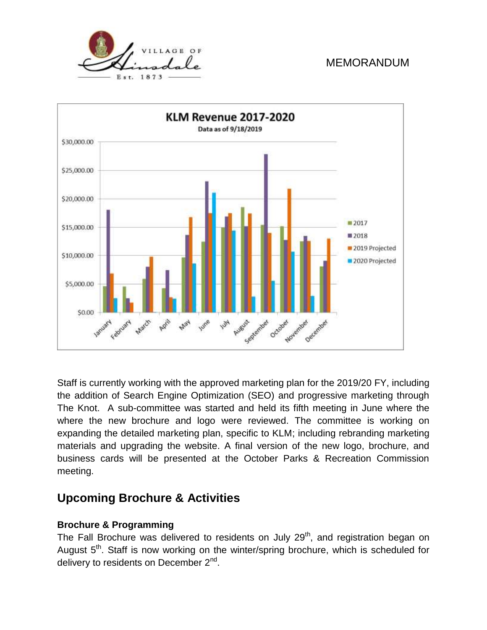



Staff is currently working with the approved marketing plan for the 2019/20 FY, including the addition of Search Engine Optimization (SEO) and progressive marketing through The Knot. A sub-committee was started and held its fifth meeting in June where the where the new brochure and logo were reviewed. The committee is working on expanding the detailed marketing plan, specific to KLM; including rebranding marketing materials and upgrading the website. A final version of the new logo, brochure, and business cards will be presented at the October Parks & Recreation Commission meeting.

# **Upcoming Brochure & Activities**

#### **Brochure & Programming**

The Fall Brochure was delivered to residents on July 29<sup>th</sup>, and registration began on August 5<sup>th</sup>. Staff is now working on the winter/spring brochure, which is scheduled for delivery to residents on December 2<sup>nd</sup>.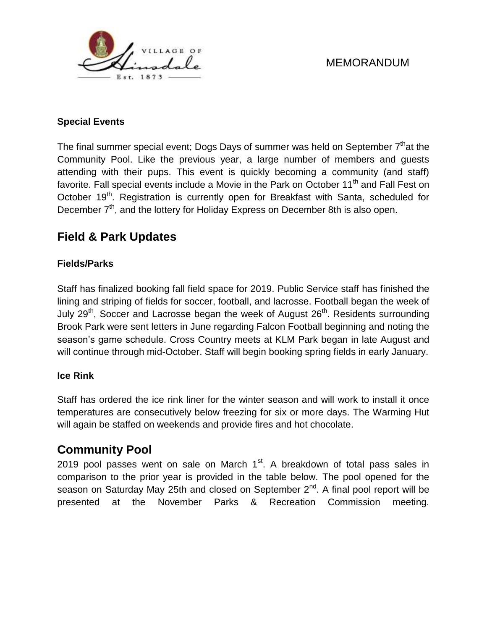

#### **Special Events**

The final summer special event; Dogs Days of summer was held on September  $7<sup>th</sup>$ at the Community Pool. Like the previous year, a large number of members and guests attending with their pups. This event is quickly becoming a community (and staff) favorite. Fall special events include a Movie in the Park on October 11<sup>th</sup> and Fall Fest on October 19<sup>th</sup>. Registration is currently open for Breakfast with Santa, scheduled for December 7<sup>th</sup>, and the lottery for Holiday Express on December 8th is also open.

# **Field & Park Updates**

#### **Fields/Parks**

Staff has finalized booking fall field space for 2019. Public Service staff has finished the lining and striping of fields for soccer, football, and lacrosse. Football began the week of July 29<sup>th</sup>, Soccer and Lacrosse began the week of August  $26<sup>th</sup>$ . Residents surrounding Brook Park were sent letters in June regarding Falcon Football beginning and noting the season's game schedule. Cross Country meets at KLM Park began in late August and will continue through mid-October. Staff will begin booking spring fields in early January.

#### **Ice Rink**

Staff has ordered the ice rink liner for the winter season and will work to install it once temperatures are consecutively below freezing for six or more days. The Warming Hut will again be staffed on weekends and provide fires and hot chocolate.

# **Community Pool**

2019 pool passes went on sale on March  $1<sup>st</sup>$ . A breakdown of total pass sales in comparison to the prior year is provided in the table below. The pool opened for the season on Saturday May 25th and closed on September 2<sup>nd</sup>. A final pool report will be presented at the November Parks & Recreation Commission meeting.